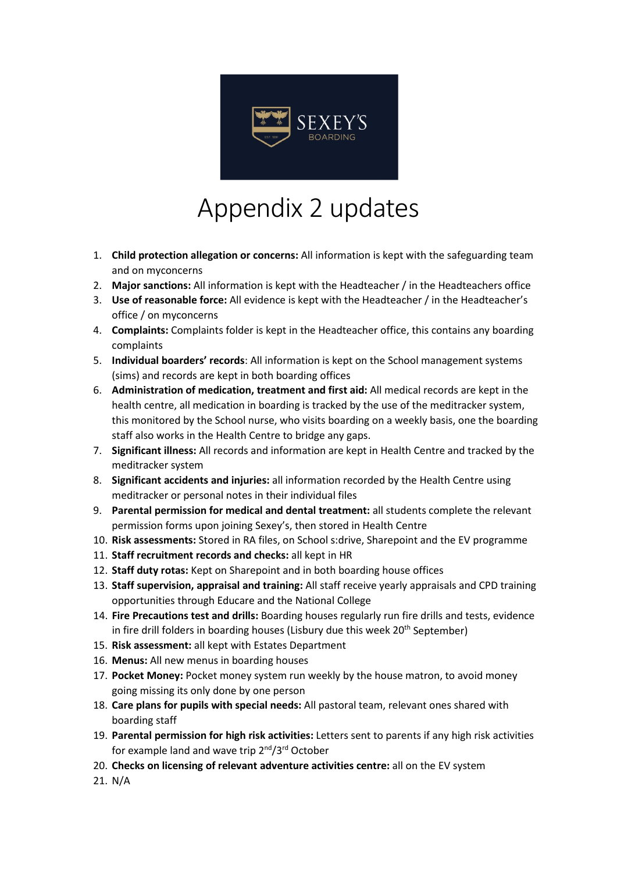

## Appendix 2 updates

- 1. **Child protection allegation or concerns:** All information is kept with the safeguarding team and on myconcerns
- 2. **Major sanctions:** All information is kept with the Headteacher / in the Headteachers office
- 3. **Use of reasonable force:** All evidence is kept with the Headteacher / in the Headteacher's office / on myconcerns
- 4. **Complaints:** Complaints folder is kept in the Headteacher office, this contains any boarding complaints
- 5. **Individual boarders' records**: All information is kept on the School management systems (sims) and records are kept in both boarding offices
- 6. **Administration of medication, treatment and first aid:** All medical records are kept in the health centre, all medication in boarding is tracked by the use of the meditracker system, this monitored by the School nurse, who visits boarding on a weekly basis, one the boarding staff also works in the Health Centre to bridge any gaps.
- 7. **Significant illness:** All records and information are kept in Health Centre and tracked by the meditracker system
- 8. **Significant accidents and injuries:** all information recorded by the Health Centre using meditracker or personal notes in their individual files
- 9. **Parental permission for medical and dental treatment:** all students complete the relevant permission forms upon joining Sexey's, then stored in Health Centre
- 10. **Risk assessments:** Stored in RA files, on School s:drive, Sharepoint and the EV programme
- 11. **Staff recruitment records and checks:** all kept in HR
- 12. **Staff duty rotas:** Kept on Sharepoint and in both boarding house offices
- 13. **Staff supervision, appraisal and training:** All staff receive yearly appraisals and CPD training opportunities through Educare and the National College
- 14. **Fire Precautions test and drills:** Boarding houses regularly run fire drills and tests, evidence in fire drill folders in boarding houses (Lisbury due this week 20<sup>th</sup> September)
- 15. **Risk assessment:** all kept with Estates Department
- 16. **Menus:** All new menus in boarding houses
- 17. **Pocket Money:** Pocket money system run weekly by the house matron, to avoid money going missing its only done by one person
- 18. **Care plans for pupils with special needs:** All pastoral team, relevant ones shared with boarding staff
- 19. **Parental permission for high risk activities:** Letters sent to parents if any high risk activities for example land and wave trip 2<sup>nd</sup>/3<sup>rd</sup> October
- 20. **Checks on licensing of relevant adventure activities centre:** all on the EV system
- 21. N/A